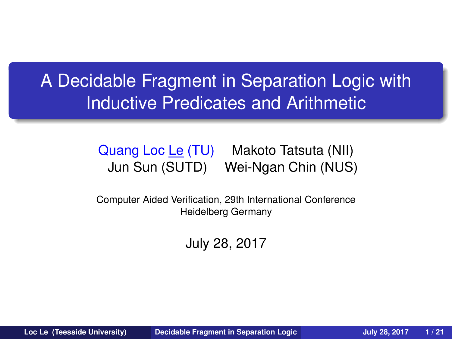# A Decidable Fragment in Separation Logic with Inductive Predicates and Arithmetic

Quang Loc Le (TU) Makoto Tatsuta (NII) Jun Sun (SUTD) Wei-Ngan Chin (NUS)

Computer Aided Verification, 29th International Conference Heidelberg Germany

<span id="page-0-0"></span>July 28, 2017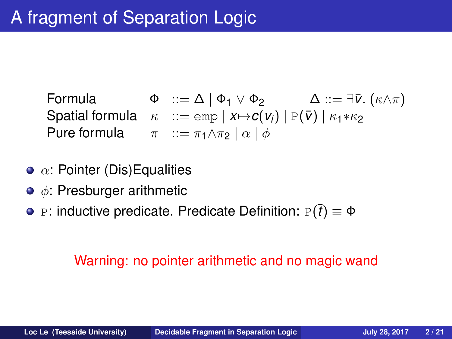Formula  $\Phi$  ::= Δ | Φ<sub>1</sub> ∨ Φ<sub>2</sub>  $\Delta$  ::= ∃ $\bar{v}$ . (κ $\wedge \pi$ ) Spatial formula  $\kappa$  ::= emp  $| x \mapsto c(v_i) | P(\bar{v}) | \kappa_1 * \kappa_2$ Pure formula  $\pi$  ::=  $\pi_1 \wedge \pi_2 | \alpha | \phi$ 

- $\bullet$   $\alpha$ : Pointer (Dis) Equalities
- $\bullet \phi$ : Presburger arithmetic
- **•** P: inductive predicate. Predicate Definition:  $P(\bar{t}) \equiv \Phi$

#### Warning: no pointer arithmetic and no magic wand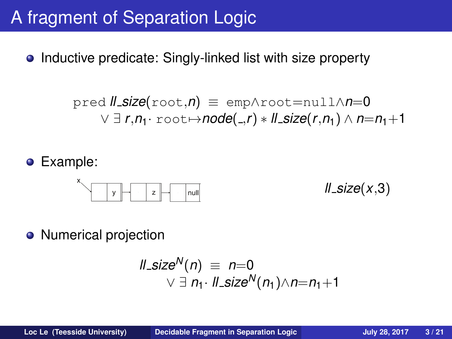# A fragment of Separation Logic

 $\bullet$ Inductive predicate: Singly-linked list with size property

> pred *ll size*(root,*n*) ≡ emp∧root=null∧*n*=0  $\lor$   $\exists$  *r*, $n_1$ ·  $\text{root} \mapsto \text{node}(\_,r) * \text{ll}.\text{size}(r,n_1) \land n=n_1+1$

Example:



*ll size*(*x*,3)

• Numerical projection

$$
\begin{array}{l}\n\text{ll-size}^N(n) = n=0 \\
\vee \exists n_1 \cdot \text{ll-size}^N(n_1) \wedge n=n_1+1\n\end{array}
$$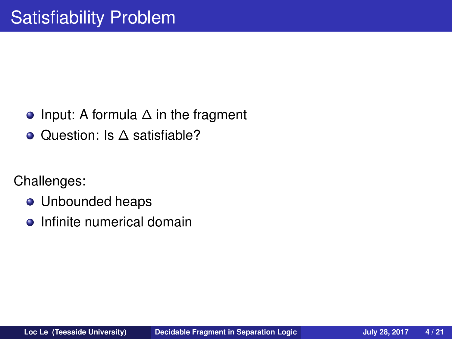- Input: A formula ∆ in the fragment
- Question: Is ∆ satisfiable?

Challenges:

- **•** Unbounded heaps
- Infinite numerical domain  $\bullet$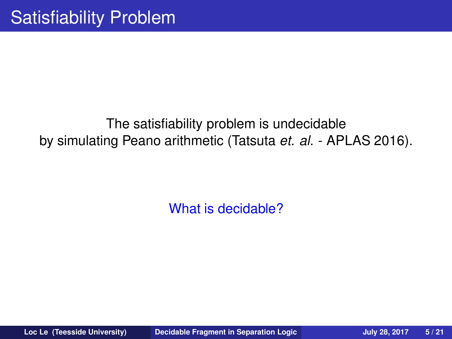#### The satisfiability problem is undecidable by simulating Peano arithmetic (Tatsuta *et. al.* - APLAS 2016).

What is decidable?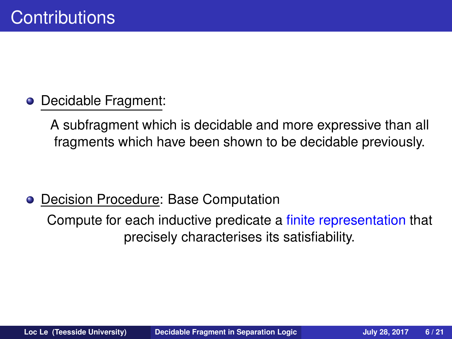#### Decidable Fragment:  $\bullet$

A subfragment which is decidable and more expressive than all fragments which have been shown to be decidable previously.

Decision Procedure: Base Computation

Compute for each inductive predicate a finite representation that precisely characterises its satisfiability.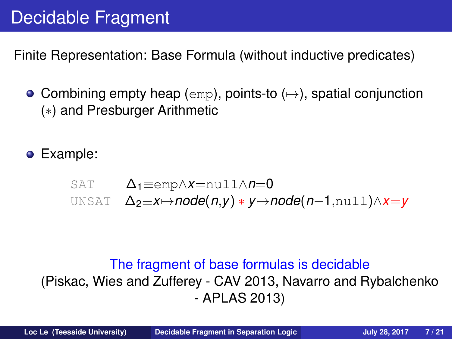Finite Representation: Base Formula (without inductive predicates)

- Combining empty heap (emp), points-to  $(\rightarrow)$ , spatial conjunction (∗) and Presburger Arithmetic
- Example:

$$
\text{SAT} \qquad \Delta_1 \equiv \text{emp} \wedge x = \text{null} \wedge n = 0
$$

UNSAT ∆2≡*x*7→*node*(*n*,*y*) ∗ *y*7→*node*(*n*−1,null)∧*x*=*y*

#### The fragment of base formulas is decidable (Piskac, Wies and Zufferey - CAV 2013, Navarro and Rybalchenko - APLAS 2013)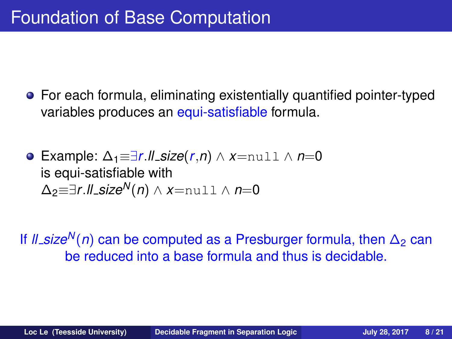- For each formula, eliminating existentially quantified pointer-typed variables produces an equi-satisfiable formula.
- Example: ∆1≡∃*r*.*ll size*(*r*,*n*) ∧ *x*=null ∧ *n*=0 is equi-satisfiable with ∆2≡∃*r*.*ll size<sup>N</sup>* (*n*) ∧ *x*=null ∧ *n*=0

If  $\ell$  *ll size<sup>N</sup>*(*n*) can be computed as a Presburger formula, then  $\Delta_2$  can be reduced into a base formula and thus is decidable.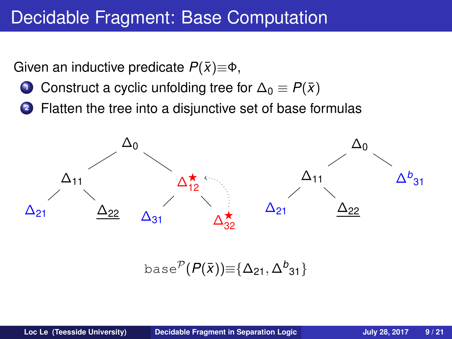### Decidable Fragment: Base Computation

Given an inductive predicate  $P(\bar{x})\equiv\Phi$ ,

- **1** Construct a cyclic unfolding tree for  $\Delta_0 \equiv P(\bar{x})$
- **<sup>2</sup>** Flatten the tree into a disjunctive set of base formulas



base $^{\mathcal{P}}(P(\bar{x}))\hspace{-0.1cm}\equiv\hspace{-0.1cm}\{\Delta_{21},\Delta^b_{31}\}$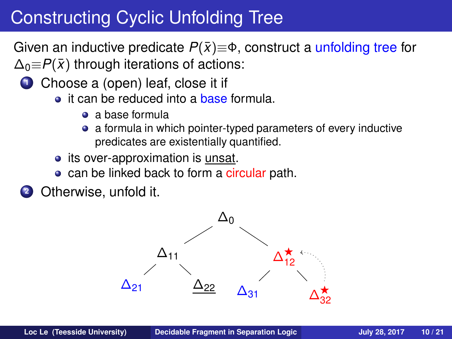# Constructing Cyclic Unfolding Tree

Given an inductive predicate  $P(\bar{x}) \equiv \Phi$ , construct a unfolding tree for  $\Delta_0 \equiv P(\bar{x})$  through iterations of actions:

- **1** Choose a (open) leaf, close it if
	- **a** it can be reduced into a **base formula**.
		- a base formula
		- a formula in which pointer-typed parameters of every inductive predicates are existentially quantified.
	- its over-approximation is unsat.
	- can be linked back to form a circular path.
	- **<sup>2</sup>** Otherwise, unfold it.

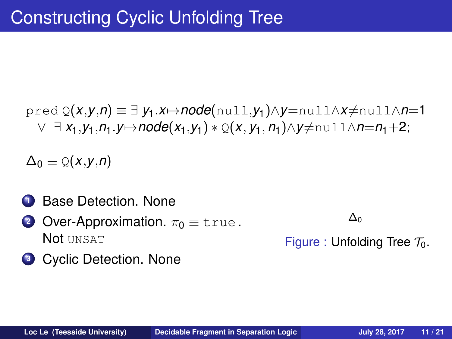$\text{pred } Q(x,y,n) \equiv \exists y_1.x \mapsto node(n \text{ul}, y_1) \wedge y = null \wedge x \neq null \wedge n = 1$  $∨ ∃ X<sub>1</sub>, Y<sub>1</sub>, Y<sub>1</sub>, Y<sub>1</sub>→ node(X<sub>1</sub>, Y<sub>1</sub>) * Q(X, Y<sub>1</sub>, Y<sub>1</sub>) ∧ Y≠null ∧ n=n<sub>1</sub>+2;$ 

 $\Delta_0 \equiv \mathcal{Q}(x,y,n)$ 

- **<sup>1</sup>** Base Detection. None
- **2** Over-Approximation.  $\pi_0 \equiv \text{true}$ . Not UNSAT

∆0

Figure : Unfolding Tree  $\mathcal{T}_0$ .

**<sup>3</sup>** Cyclic Detection. None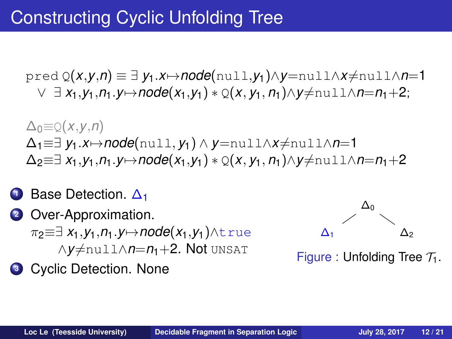$\text{pred } Q(x,y,n) \equiv \exists y_1.x \mapsto node(\text{null},y_1) \wedge y = \text{null} \wedge x \neq \text{null} \wedge n=1$ ∨ ∃ *x*1,*y*1,*n*1.*y*7→*node*(*x*1,*y*1) ∗ Q(*x*, *y*1, *n*1)∧*y*6=null∧*n*=*n*1+2;

 $\triangle$ <sup>0</sup>≡ $\odot$ (*x*,*y*,*n*)  $\Delta_1 \equiv \exists$  *y*<sub>1</sub>.*x*→*node*(null, *y*<sub>1</sub>)  $\wedge$  *y*=null $\wedge$ *x*≠null $\wedge$ *n*=1  $\Delta_2 \equiv \exists x_1, y_1, n_1, y \mapsto node(x_1, y_1) * Q(x, y_1, n_1) \wedge y \neq null \wedge n = n_1 + 2$ 

- Base Detection. △1
- **<sup>2</sup>** Over-Approximation. π2≡∃ *x*1,*y*1,*n*1.*y*7→*node*(*x*1,*y*1)∧true ∧*y*6=null∧*n*=*n*1+2. Not UNSAT
- **<sup>3</sup>** Cyclic Detection. None



Figure : Unfolding Tree  $\mathcal{T}_1$ .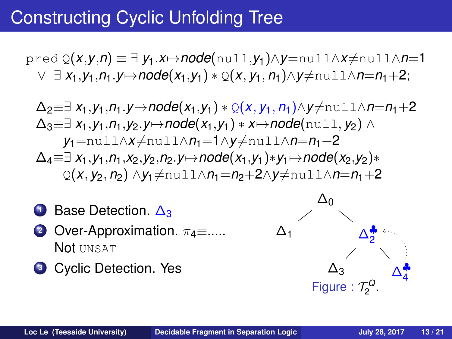## Constructing Cyclic Unfolding Tree

 $\text{pred } Q(x,y,n) \equiv \exists y_1.x \mapsto node(\text{null},y_1) \wedge y = \text{null} \wedge x \neq \text{null} \wedge n=1$ ∨ ∃ *x*1,*y*1,*n*1.*y*7→*node*(*x*1,*y*1) ∗ Q(*x*, *y*1, *n*1)∧*y*6=null∧*n*=*n*1+2;

$$
\Delta_2 \equiv \exists x_1, y_1, n_1 \cdot y \mapsto node(x_1, y_1) * \mathbb{Q}(x, y_1, n_1) \wedge y \neq null \wedge n = n_1 + 2
$$
\n
$$
\Delta_3 \equiv \exists x_1, y_1, n_1, y_2 \cdot y \mapsto node(x_1, y_1) * x \mapsto node(\text{null}, y_2) \wedge
$$
\n
$$
y_1 = null \wedge x \neq null \wedge n = 1 \wedge y \neq null \wedge n = n_1 + 2
$$
\n
$$
\Delta_4 \equiv \exists x_1, y_1, n_1, x_2, y_2, n_2 \cdot y \mapsto node(x_1, y_1) * y_1 \mapsto node(x_2, y_2) *
$$
\n
$$
\mathbb{Q}(x, y_2, n_2) \wedge y_1 \neq null \wedge n_1 = n_2 + 2 \wedge y \neq null \wedge n = n_1 + 2
$$

\n- Base Detection. 
$$
\Delta_3
$$
\n- Over-Approximation.  $\pi_4 \equiv \dots$
\n- Not  $UNSAT$
\n

**<sup>3</sup>** Cyclic Detection. Yes

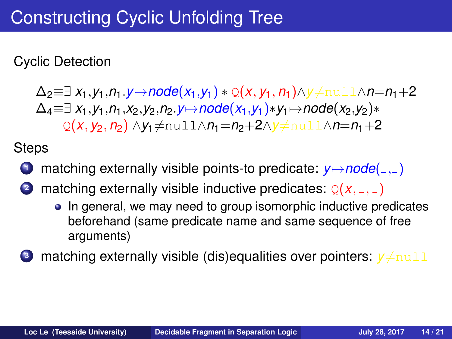Cyclic Detection

 $\Delta_2 \equiv \exists x_1, y_1, n_1. y \mapsto node(x_1, y_1) * Q(x, y_1, n_1) \wedge y \neq null \wedge n = n_1 + 2$  $\Delta_4 \equiv \exists x_1, y_1, n_1, x_2, y_2, n_2, y \mapsto node(x_1, y_1) * y_1 \mapsto node(x_2, y_2) *$ Q(*x*, *y*<sub>2</sub>, *n*<sub>2</sub>) ∧*y*<sub>1</sub>≠null∧*n*<sub>1</sub>=*n*<sub>2</sub>+2∧*y*≠null∧*n*=*n*<sub>1</sub>+2

**Steps** 

- **1** matching externally visible points-to predicate:  $y \mapsto node(\_ \cdot \_ )$
- **2** matching externally visible inductive predicates:  $Q(X, 2, 2)$ 
	- In general, we may need to group isomorphic inductive predicates beforehand (same predicate name and same sequence of free arguments)
- **3** matching externally visible (dis)equalities over pointers:  $y \neq \text{null}$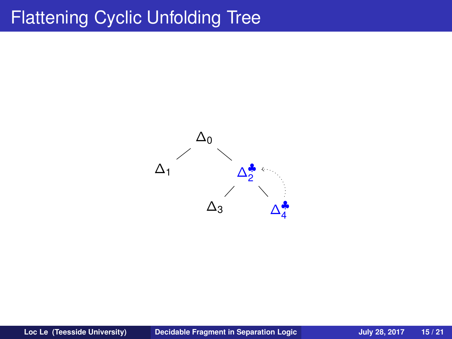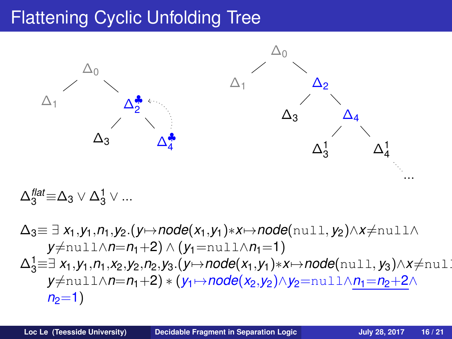

$$
\Delta_3^\text{flat} \equiv \Delta_3 \vee \Delta_3^1 \vee \dots
$$

 $\Delta_3 \equiv \exists x_1, y_1, n_1, y_2. (y \mapsto node(x_1, y_1) * x \mapsto node(\text{null}, y_2) \wedge x \neq \text{null} \wedge$  $y \neq \text{null}\land n=n_1+2) \land (y_1=\text{null}\land n_1=1)$ ∆<sup>1</sup> <sup>3</sup>≡∃ *x*1,*y*1,*n*1,*x*2,*y*2,*n*2,*y*3.(*y*7→*node*(*x*1,*y*1)∗*x*7→*node*(null, *y*3)∧*x*6=null *y* $\neq$ null∧*n*=*n*<sub>1</sub>+2) ∗ (*y*<sub>1</sub>→*node*(*x*<sub>2</sub>,*y*<sub>2</sub>)∧*y*<sub>2</sub>=null∧*n*<sub>1</sub>=*n*<sub>2</sub>+2∧  $n_2=1$ )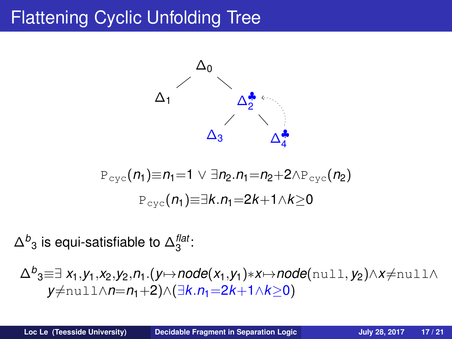

$$
\mathbb{P}_{\text{cyc}}(n_1) \equiv n_1 = 1 \lor \exists n_2 . n_1 = n_2 + 2 \land \mathbb{P}_{\text{cyc}}(n_2)
$$

$$
\mathbb{P}_{\text{cyc}}(n_1) \equiv \exists k . n_1 = 2k + 1 \land k \ge 0
$$

 $\Delta^b{}_3$  is equi-satisfiable to  $\Delta_3^\text{flat}$ :

∆*<sup>b</sup>* <sup>3</sup>≡∃ *x*1,*y*1,*x*2,*y*2,*n*1.(*y*7→*node*(*x*1,*y*1)∗*x*7→*node*(null, *y*2)∧*x*6=null∧ *y*≠null∧*n*=*n*<sub>1</sub>+2)∧(∃*k.n*<sub>1</sub>=2*k*+1∧*k*>0)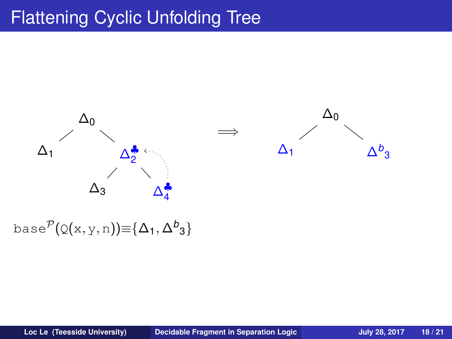

base $^{\mathcal{P}}(\operatorname{\mathsf{Q}}(\mathsf{x},\mathsf{y},\mathsf{n}))\hspace{-1mm}\equiv\hspace{-1mm}\{\Delta_1,\Delta^{\textit{b}}_3\}$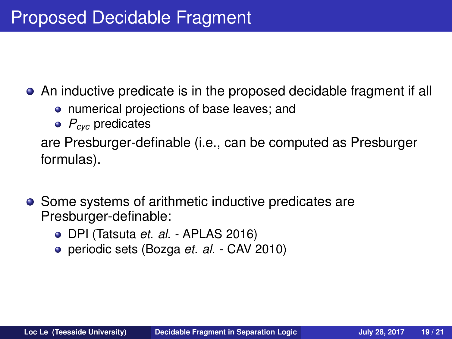An inductive predicate is in the proposed decidable fragment if all

- numerical projections of base leaves; and
- *Pcyc* predicates

are Presburger-definable (i.e., can be computed as Presburger formulas).

- Some systems of arithmetic inductive predicates are Presburger-definable:
	- DPI (Tatsuta *et. al.* APLAS 2016)
	- periodic sets (Bozga *et. al.* CAV 2010)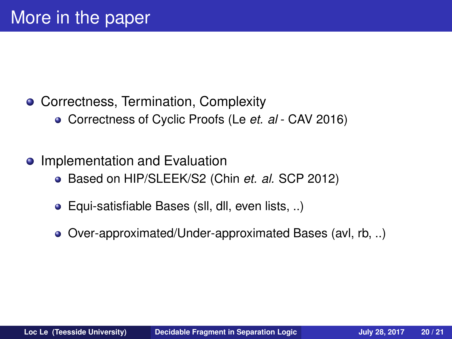#### • Correctness, Termination, Complexity

- Correctness of Cyclic Proofs (Le *et. al* CAV 2016)
- Implementation and Evaluation  $\bullet$ 
	- Based on HIP/SLEEK/S2 (Chin *et. al.* SCP 2012)
	- Equi-satisfiable Bases (sll, dll, even lists, ..)
	- Over-approximated/Under-approximated Bases (avl, rb, ..)